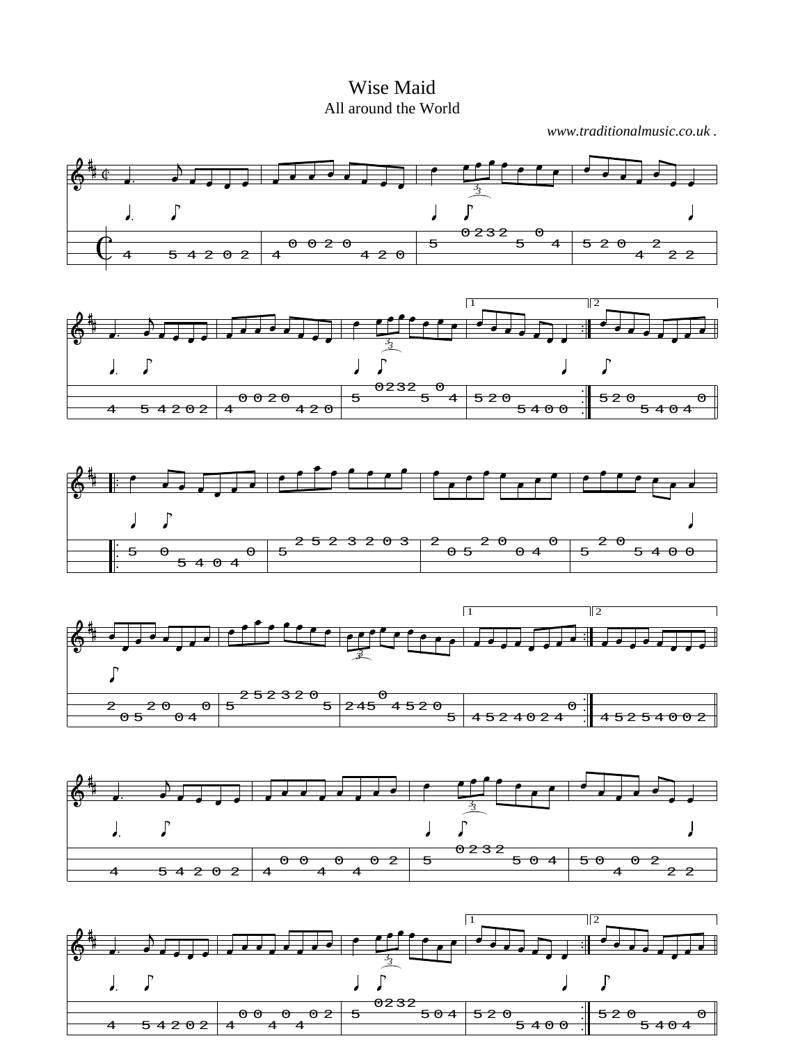Wise Maid All around the World

*www.traditionalmusic.co.uk .*